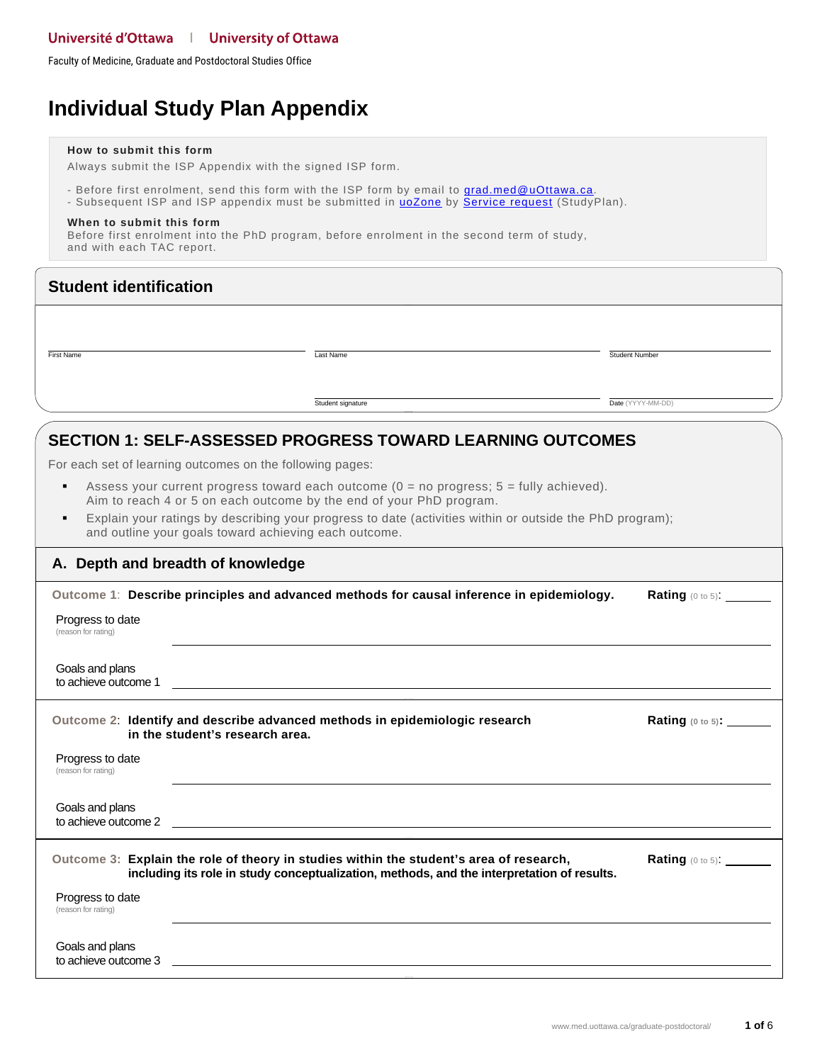Faculty of Medicine, Graduate and Postdoctoral Studies Office

# **Individual Study Plan Appendix**

#### **How to submit this form**

Always submit the ISP Appendix with the signed ISP form.

- Before first enrolment, send this form with the ISP form by email to **grad.med@uOttawa.ca**.
- Subsequent ISP and ISP appendix must be submitted in **uoZone** by **Service request** (StudyPlan).

#### **When to submit this form**

Before first enrolment into the PhD program, before enrolment in the second term of study, and with each TAC report.

| <b>Student identification</b>           |                                                                                                                                                                                                                                                                                                                                         |                          |
|-----------------------------------------|-----------------------------------------------------------------------------------------------------------------------------------------------------------------------------------------------------------------------------------------------------------------------------------------------------------------------------------------|--------------------------|
| First Name                              | Last Name                                                                                                                                                                                                                                                                                                                               | Student Number           |
|                                         | Student signature                                                                                                                                                                                                                                                                                                                       | Date (YYYY-MM-DD)        |
|                                         | <b>SECTION 1: SELF-ASSESSED PROGRESS TOWARD LEARNING OUTCOMES</b><br>For each set of learning outcomes on the following pages:                                                                                                                                                                                                          |                          |
|                                         | Assess your current progress toward each outcome $(0 = no$ progress; $5 =$ fully achieved).<br>Aim to reach 4 or 5 on each outcome by the end of your PhD program.<br>Explain your ratings by describing your progress to date (activities within or outside the PhD program);<br>and outline your goals toward achieving each outcome. |                          |
| A. Depth and breadth of knowledge       |                                                                                                                                                                                                                                                                                                                                         |                          |
| Progress to date<br>(reason for rating) | Outcome 1: Describe principles and advanced methods for causal inference in epidemiology.                                                                                                                                                                                                                                               | Rating (0 to 5): _______ |
| Goals and plans<br>to achieve outcome 1 | <u> 1989 - Johann John Stone, markin sanat masjid asl nashrida masjid asl nashrida masjid asl nashrida masjid asl</u>                                                                                                                                                                                                                   |                          |
|                                         | Outcome 2: Identify and describe advanced methods in epidemiologic research<br>in the student's research area.                                                                                                                                                                                                                          | Rating (0 to 5): ______  |
| Progress to date<br>(reason for rating) |                                                                                                                                                                                                                                                                                                                                         |                          |
| Goals and plans<br>to achieve outcome 2 |                                                                                                                                                                                                                                                                                                                                         |                          |
|                                         | Outcome 3: Explain the role of theory in studies within the student's area of research,<br>including its role in study conceptualization, methods, and the interpretation of results.                                                                                                                                                   | Rating (0 to 5):         |
| Progress to date<br>(reason for rating) |                                                                                                                                                                                                                                                                                                                                         |                          |
| Goals and plans<br>to achieve outcome 3 |                                                                                                                                                                                                                                                                                                                                         |                          |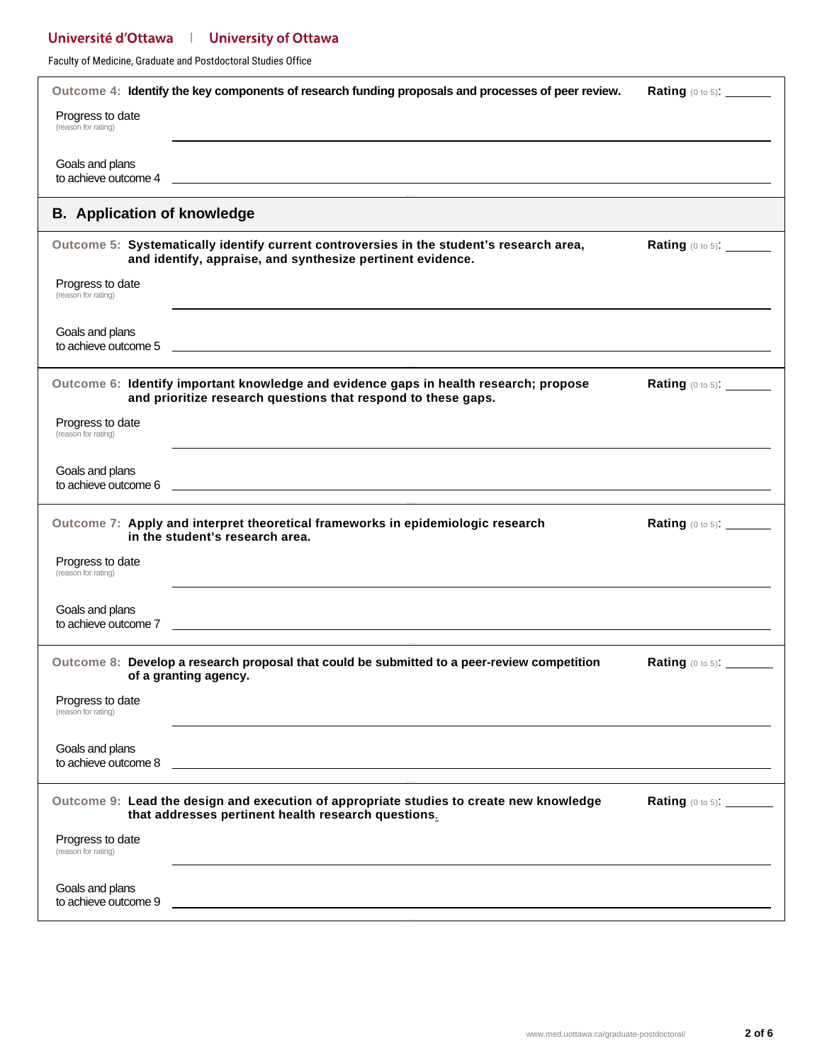Faculty of Medicine, Graduate and Postdoctoral Studies Office

|                                         | Outcome 4: Identify the key components of research funding proposals and processes of peer review.                                                                                                                                   | <b>Rating</b> $(0 \text{ to } 5)$ : _________ |
|-----------------------------------------|--------------------------------------------------------------------------------------------------------------------------------------------------------------------------------------------------------------------------------------|-----------------------------------------------|
| Progress to date<br>(reason for rating) |                                                                                                                                                                                                                                      |                                               |
| Goals and plans<br>to achieve outcome 4 | <u> 1999 - Johann Stoff, deutscher Stoffen und der Stoffen und der Stoffen und der Stoffen und der Stoffen und der Stoffen und der Stoffen und der Stoffen und der Stoffen und der Stoffen und der Stoffen und der Stoffen und d</u> |                                               |
| <b>B.</b> Application of knowledge      |                                                                                                                                                                                                                                      |                                               |
|                                         | Outcome 5: Systematically identify current controversies in the student's research area,<br>and identify, appraise, and synthesize pertinent evidence.                                                                               | Rating (0 to 5): _______                      |
| Progress to date<br>(reason for rating) |                                                                                                                                                                                                                                      |                                               |
| Goals and plans<br>to achieve outcome 5 | <u> 1999 - Johann John Stoff, deutscher Stoffen und der Stoffen und der Stoffen und der Stoffen und der Stoffen un</u>                                                                                                               |                                               |
|                                         | Outcome 6: Identify important knowledge and evidence gaps in health research; propose<br>and prioritize research questions that respond to these gaps.                                                                               | Rating $(0 \text{ to } 5)$ : ________         |
| Progress to date<br>(reason for rating) |                                                                                                                                                                                                                                      |                                               |
| Goals and plans                         | to achieve outcome 6 <u>experience</u> and the set of the set of the set of the set of the set of the set of the set of the set of the set of the set of the set of the set of the set of the set of the set of the set of the set   |                                               |
|                                         | Outcome 7: Apply and interpret theoretical frameworks in epidemiologic research<br>in the student's research area.                                                                                                                   | <b>Rating</b> (0 to 5): _______               |
| Progress to date<br>(reason for rating) |                                                                                                                                                                                                                                      |                                               |
| Goals and plans                         |                                                                                                                                                                                                                                      |                                               |
|                                         | Outcome 8: Develop a research proposal that could be submitted to a peer-review competition<br>of a granting agency.                                                                                                                 | Rating (0 to 5): ______                       |
| Progress to date<br>(reason for rating) |                                                                                                                                                                                                                                      |                                               |
| Goals and plans<br>to achieve outcome 8 |                                                                                                                                                                                                                                      |                                               |
|                                         | Outcome 9: Lead the design and execution of appropriate studies to create new knowledge<br>that addresses pertinent health research questions.                                                                                       | <b>Rating (0 to 5):</b> ________              |
| Progress to date<br>(reason for rating) |                                                                                                                                                                                                                                      |                                               |
| Goals and plans<br>to achieve outcome 9 |                                                                                                                                                                                                                                      |                                               |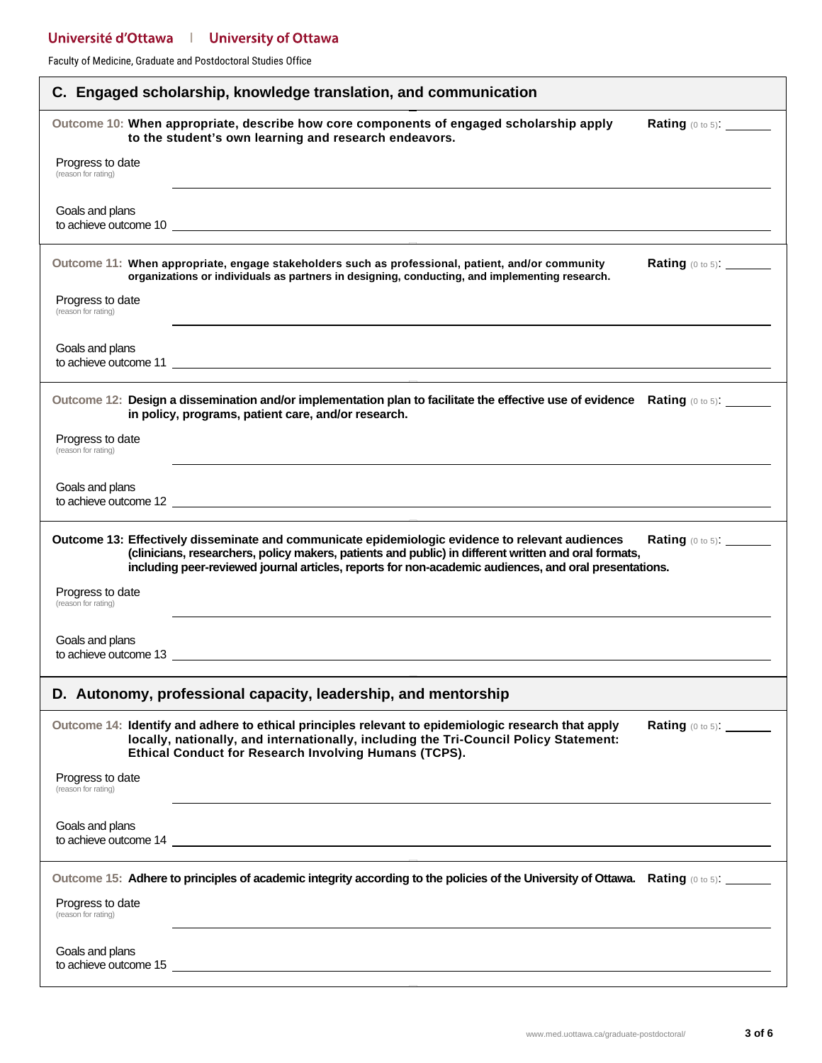Faculty of Medicine, Graduate and Postdoctoral Studies Office

| C. Engaged scholarship, knowledge translation, and communication                                                                                                                                                                                                                                                                             |  |  |  |  |
|----------------------------------------------------------------------------------------------------------------------------------------------------------------------------------------------------------------------------------------------------------------------------------------------------------------------------------------------|--|--|--|--|
| Outcome 10: When appropriate, describe how core components of engaged scholarship apply<br>Rating (0 to 5): _______<br>to the student's own learning and research endeavors.                                                                                                                                                                 |  |  |  |  |
| Progress to date<br>(reason for rating)                                                                                                                                                                                                                                                                                                      |  |  |  |  |
| Goals and plans                                                                                                                                                                                                                                                                                                                              |  |  |  |  |
| Outcome 11: When appropriate, engage stakeholders such as professional, patient, and/or community<br>Rating (0 to 5): ______<br>organizations or individuals as partners in designing, conducting, and implementing research.                                                                                                                |  |  |  |  |
| Progress to date<br>(reason for rating)                                                                                                                                                                                                                                                                                                      |  |  |  |  |
| Goals and plans<br>to achieve outcome 11 example and the state of the state of the state of the state of the state of the state of the state of the state of the state of the state of the state of the state of the state of the state of the st                                                                                            |  |  |  |  |
| Outcome 12: Design a dissemination and/or implementation plan to facilitate the effective use of evidence Rating (0 to 5): _____<br>in policy, programs, patient care, and/or research.                                                                                                                                                      |  |  |  |  |
| Progress to date<br>(reason for rating)                                                                                                                                                                                                                                                                                                      |  |  |  |  |
| Goals and plans                                                                                                                                                                                                                                                                                                                              |  |  |  |  |
| Outcome 13: Effectively disseminate and communicate epidemiologic evidence to relevant audiences<br><b>Rating</b> (0 to 5):<br>(clinicians, researchers, policy makers, patients and public) in different written and oral formats,<br>including peer-reviewed journal articles, reports for non-academic audiences, and oral presentations. |  |  |  |  |
| Progress to date<br>(reason for rating)                                                                                                                                                                                                                                                                                                      |  |  |  |  |
| Goals and plans                                                                                                                                                                                                                                                                                                                              |  |  |  |  |
| D. Autonomy, professional capacity, leadership, and mentorship                                                                                                                                                                                                                                                                               |  |  |  |  |
| Outcome 14: Identify and adhere to ethical principles relevant to epidemiologic research that apply<br>Rating (0 to 5): _______<br>locally, nationally, and internationally, including the Tri-Council Policy Statement:<br>Ethical Conduct for Research Involving Humans (TCPS).                                                            |  |  |  |  |
| Progress to date<br>(reason for rating)                                                                                                                                                                                                                                                                                                      |  |  |  |  |
| Goals and plans                                                                                                                                                                                                                                                                                                                              |  |  |  |  |
| Outcome 15: Adhere to principles of academic integrity according to the policies of the University of Ottawa. Rating (0 to 5):                                                                                                                                                                                                               |  |  |  |  |
| Progress to date<br>(reason for rating)                                                                                                                                                                                                                                                                                                      |  |  |  |  |
| Goals and plans                                                                                                                                                                                                                                                                                                                              |  |  |  |  |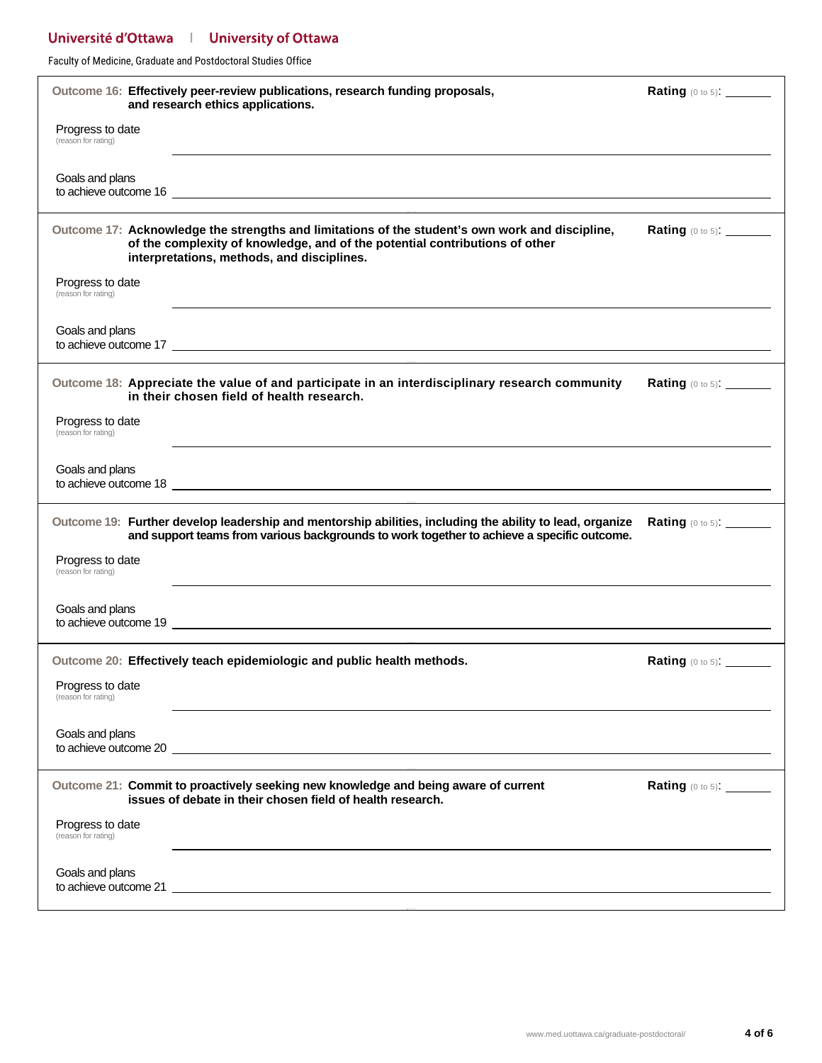Faculty of Medicine, Graduate and Postdoctoral Studies Office

|                                         | Outcome 16: Effectively peer-review publications, research funding proposals,<br>and research ethics applications.                                                                                                                   | <b>Rating</b> (0 to 5): _______              |
|-----------------------------------------|--------------------------------------------------------------------------------------------------------------------------------------------------------------------------------------------------------------------------------------|----------------------------------------------|
| Progress to date<br>(reason for rating) |                                                                                                                                                                                                                                      |                                              |
| Goals and plans                         | to achieve outcome 16 <u>experience</u> and the contract of the contract of the contract of the contract of the contract of the contract of the contract of the contract of the contract of the contract of the contract of the con  |                                              |
|                                         | Outcome 17: Acknowledge the strengths and limitations of the student's own work and discipline,<br>of the complexity of knowledge, and of the potential contributions of other<br>interpretations, methods, and disciplines.         | <b>Rating</b> $(0 \text{ to } 5)$ : ________ |
| Progress to date<br>(reason for rating) |                                                                                                                                                                                                                                      |                                              |
| Goals and plans                         | to achieve outcome 17 <u>example and the set of the set of the set of the set of the set of the set of the set of the set of the set of the set of the set of the set of the set of the set of the set of the set of the set of </u> |                                              |
|                                         | Outcome 18: Appreciate the value of and participate in an interdisciplinary research community<br>in their chosen field of health research.                                                                                          | Rating (0 to 5): _______                     |
| Progress to date<br>(reason for rating) |                                                                                                                                                                                                                                      |                                              |
| Goals and plans                         |                                                                                                                                                                                                                                      |                                              |
|                                         | Outcome 19: Further develop leadership and mentorship abilities, including the ability to lead, organize<br>and support teams from various backgrounds to work together to achieve a specific outcome.                               | <b>Rating (0 to 5): _______</b>              |
| Progress to date<br>(reason for rating) |                                                                                                                                                                                                                                      |                                              |
| Goals and plans                         |                                                                                                                                                                                                                                      |                                              |
|                                         | Outcome 20: Effectively teach epidemiologic and public health methods.                                                                                                                                                               | Rating (0 to 5): _______                     |
| Progress to date<br>(reason for rating) |                                                                                                                                                                                                                                      |                                              |
| Goals and plans                         |                                                                                                                                                                                                                                      |                                              |
|                                         | Outcome 21: Commit to proactively seeking new knowledge and being aware of current<br>issues of debate in their chosen field of health research.                                                                                     | <b>Rating</b> (0 to 5): ________             |
| Progress to date<br>(reason for rating) |                                                                                                                                                                                                                                      |                                              |
| Goals and plans                         |                                                                                                                                                                                                                                      |                                              |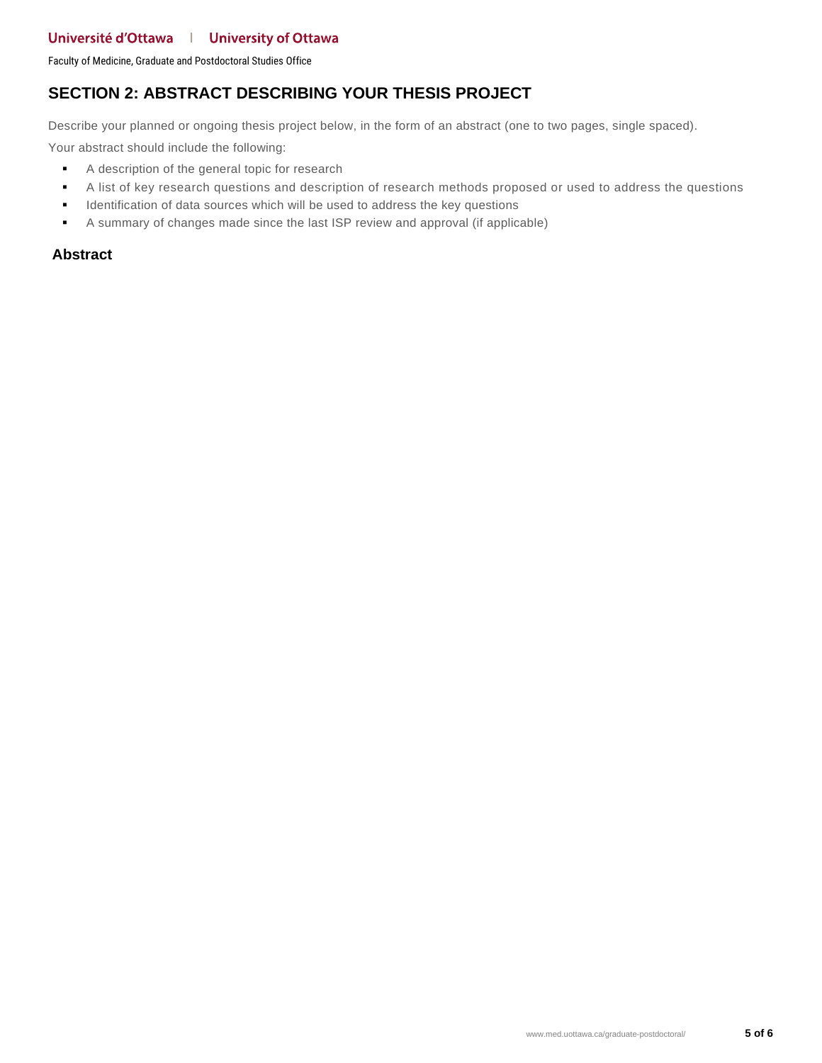Faculty of Medicine, Graduate and Postdoctoral Studies Office

### **SECTION 2: ABSTRACT DESCRIBING YOUR THESIS PROJECT**

Describe your planned or ongoing thesis project below, in the form of an abstract (one to two pages, single spaced).

Your abstract should include the following:

- A description of the general topic for research
- A list of key research questions and description of research methods proposed or used to address the questions
- **IDENTIFY IDENTIFY IDENTIFY IS NOTEN IN A LOCAL THE USE A** dentification of data sources which will be used to address the key questions
- A summary of changes made since the last ISP review and approval (if applicable)

#### **Abstract**